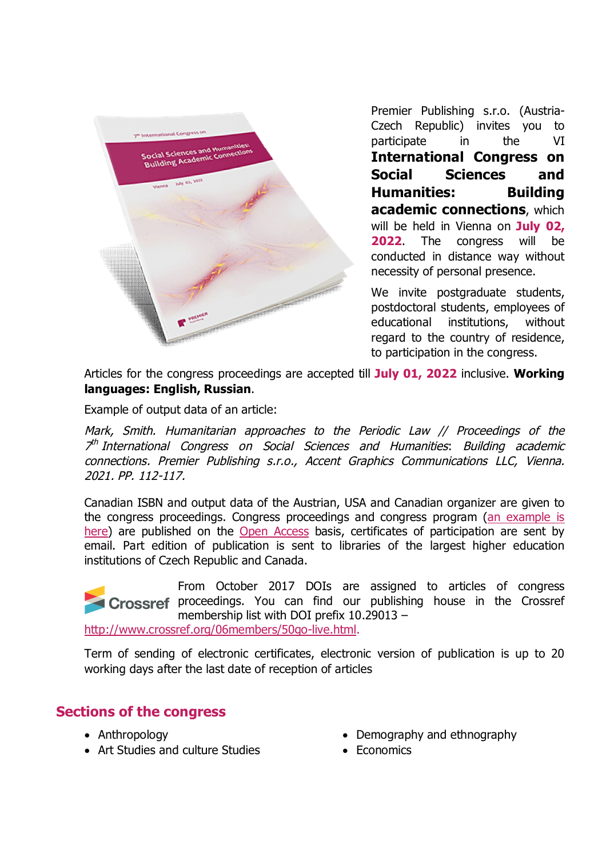

Premier Publishing s.r.o. (Austria-Czech Republic) invites you to participate in the VI **International Congress on Social Sciences and Humanities: Building academic connections**, which will be held in Vienna on **July 02, 2022**. The congress will be conducted in distance way without necessity of personal presence.

We invite postgraduate students, postdoctoral students, employees of educational institutions, without regard to the country of residence, to participation in the congress.

Articles for the congress proceedings are accepted till **July 01, 2022** inclusive. **Working languages: English, Russian**.

Example of output data of an article:

*Mark, Smith. Humanitarian approaches to the Periodic Law // Proceedings of the 7 th International Congress on Social Sciences and Humanities*: *Building academic connections. Premier Publishing s.r.o., Accent Graphics Communications LLC, Vienna. 2021. PP. 112-117.*

Canadian ISBN and output data of the Austrian, USA and Canadian organizer are given to the congress proceedings. Congress proceedings and congress program (an example is here) are published on the Open Access basis, certificates of participation are sent by email. Part edition of publication is sent to libraries of the largest higher education institutions of Czech Republic and Canada.

From October 2017 DOIs are assigned to articles of сongress Crossref proceedings. You can find our publishing house in the Crossref membership list with DOI prefix 10.29013 –

http://www.crossref.org/06members/50go-live.html.

Term of sending of electronic certificates, electronic version of publication is up to 20 working days after the last date of reception of articles

## **Sections of the congress**

- Anthropology
- Art Studies and culture Studies
- Demography and ethnography
- Economics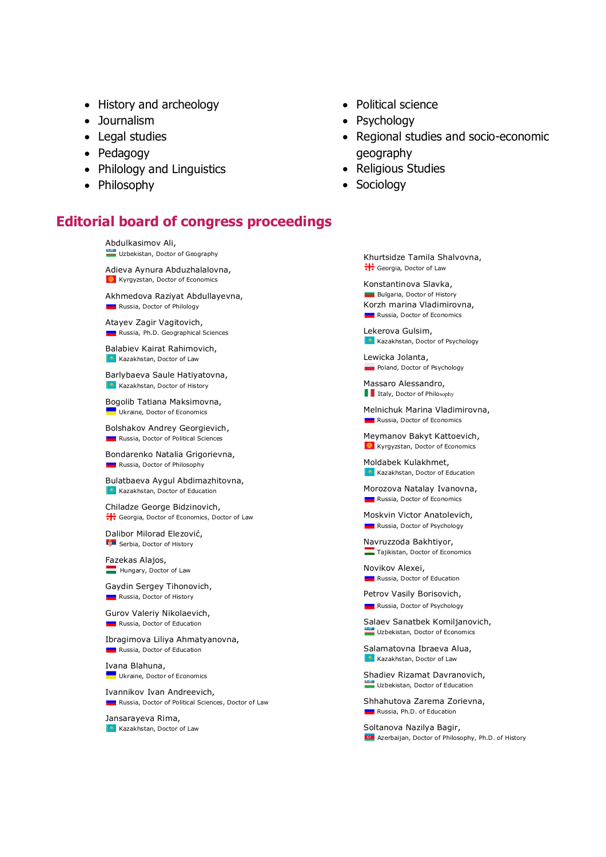- History and archeology
- Journalism
- Legal studies
- Pedagogy
- Philology and Linguistics
- Philosophy

## **Editorial board of congress proceedings**

Abdulkasimov Ali, Uzbekistan, Doctor of Geography Adieva Aynura Abduzhalalovna, **C** Kyrgyzstan, Doctor of Economics Akhmedova Raziyat Abdullayevna, **Russia, Doctor of Philology** Atayev Zagir Vagitovich, Russia, Ph.D. Geographical Sciences Balabiev Kairat Rahimovich, **Kazakhstan, Doctor of Law** Barlybaeva Saule Hatiyatovna, **Kazakhstan, Doctor of History** 

Bogolib Tatiana Maksimovna, **Ukraine, Doctor of Economics** 

Bolshakov Andrey Georgievich, **Russia, Doctor of Political Sciences** 

Bondarenko Natalia Grigorievna, **Russia, Doctor of Philosophy** 

Bulatbaeva Aygul Abdimazhitovna, **Kazakhstan, Doctor of Education** 

Chiladze George Bidzinovich, Georgia, Doctor of Economics, Doctor of Law

Dalibor Milorad Elezović, Serbia, Doctor of History

Fazekas Alajos, Hungary, Doctor of Law

Gaydin Sergey Tihonovich, **Russia, Doctor of History** 

Gurov Valeriy Nikolaevich, **Russia, Doctor of Education** 

Ibragimova Liliya Ahmatyanovna, **Russia, Doctor of Education** 

Ivana Blahuna, **Ukraine, Doctor of Economics** 

Ivannikov Ivan Andreevich, **Russia, Doctor of Political Sciences, Doctor of Law** 

Jansarayeva Rima, **Kazakhstan, Doctor of Law**  • Political science

- Psychology
- Regional studies and socio-economic geography
- Religious Studies
- Sociology

Khurtsidze Tamila Shalvovna,  $\frac{11}{11}$  Georgia, Doctor of Law

Konstantinova Slavka, **Bulgaria, Doctor of History** Korzh marina Vladimirovna, **Russia, Doctor of Economics** 

Lekerova Gulsim, **Kazakhstan, Doctor of Psychology** 

Lewicka Jolanta, **Poland, Doctor of Psychology** 

Massaro Alessandro, **I**Italy, Doctor of Philosophy

Melnichuk Marina Vladimirovna, **Russia, Doctor of Economics** 

Meymanov Bakyt Kattoevich, **C** Kyrgyzstan, Doctor of Economics

Moldabek Kulakhmet, **Kazakhstan, Doctor of Education** 

Morozova Natalay Ivanovna, **Russia, Doctor of Economics** 

Moskvin Victor Anatolevich, **Russia, Doctor of Psychology** 

Navruzzoda Bakhtiyor, **Tajikistan, Doctor of Economics** 

Novikov Alexei, **Russia, Doctor of Education** 

Petrov Vasily Borisovich, **Russia, Doctor of Psychology** 

Salaev Sanatbek Komiljanovich, Uzbekistan, Doctor of Economics

Salamatovna Ibraeva Alua, **Kazakhstan, Doctor of Law** 

Shadiev Rizamat Davranovich, Uzbekistan, Doctor of Education

Shhahutova Zarema Zorievna, **Russia, Ph.D. of Education** 

Soltanova Nazilya Bagir, **IG** Azerbaijan, Doctor of Philosophy, Ph.D. of History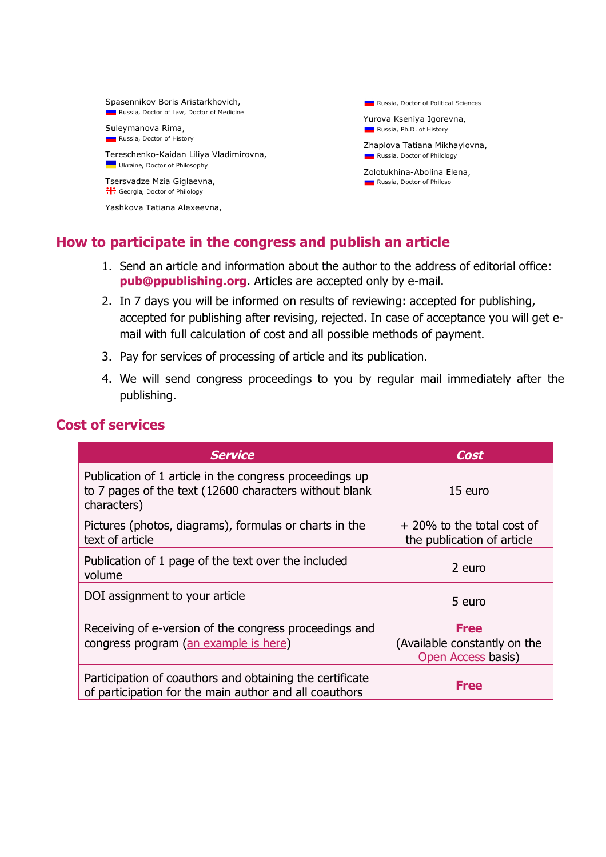Spasennikov Boris Aristarkhovich, **Russia, Doctor of Law, Doctor of Medicine** 

Suleymanova Rima, **Russia, Doctor of History** 

Tereschenko-Kaidan Liliya Vladimirovna, **Ukraine, Doctor of Philosophy** 

Tsersvadze Mzia Giglaevna,  $\frac{1+1}{1+1}$  Georgia, Doctor of Philology

Yashkova Tatiana Alexeevna,

**Russia, Doctor of Political Sciences** 

Yurova Kseniya Igorevna, **Russia, Ph.D. of History** 

Zhaplova Tatiana Mikhaylovna, **Russia, Doctor of Philology** 

Zolotukhina-Abolina Elena, **Russia, Doctor of Philoso** 

## **How to participate in the congress and publish an article**

- 1. Send an article and information about the author to the address of editorial office: **pub@ppublishing.org**. Articles are accepted only by e-mail.
- 2. In 7 days you will be informed on results of reviewing: accepted for publishing, accepted for publishing after revising, rejected. In case of acceptance you will get email with full calculation of cost and all possible methods of payment.
- 3. Pay for services of processing of article and its publication.
- 4. We will send congress proceedings to you by regular mail immediately after the publishing.

## **Cost of services**

| <b>Service</b>                                                                                                                   | Cost                                                              |
|----------------------------------------------------------------------------------------------------------------------------------|-------------------------------------------------------------------|
| Publication of 1 article in the congress proceedings up<br>to 7 pages of the text (12600 characters without blank<br>characters) | 15 euro                                                           |
| Pictures (photos, diagrams), formulas or charts in the<br>text of article                                                        | + 20% to the total cost of<br>the publication of article          |
| Publication of 1 page of the text over the included<br>volume                                                                    | 2 euro                                                            |
| DOI assignment to your article                                                                                                   | 5 euro                                                            |
| Receiving of e-version of the congress proceedings and<br>congress program (an example is here)                                  | <b>Free</b><br>(Available constantly on the<br>Open Access basis) |
| Participation of coauthors and obtaining the certificate<br>of participation for the main author and all coauthors               | <b>Free</b>                                                       |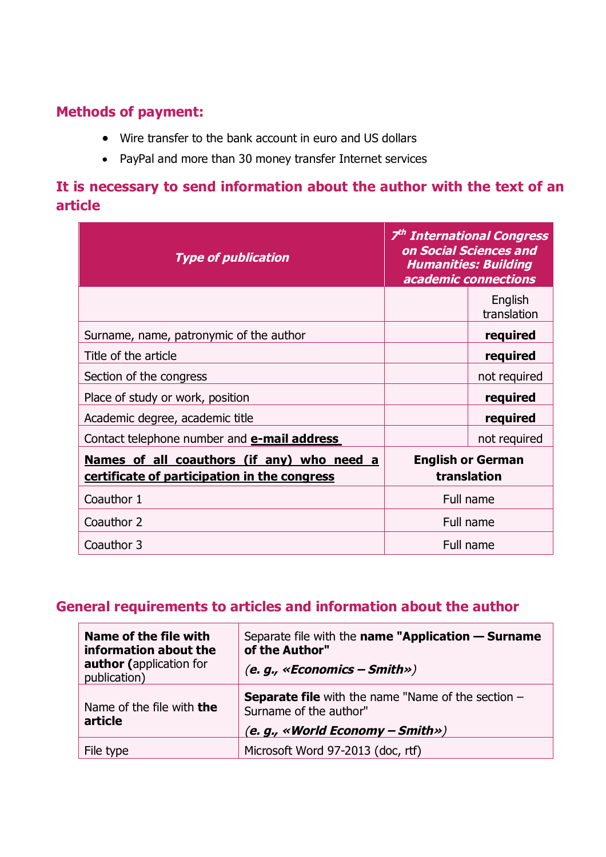# **Methods of payment:**

- Wire transfer to the bank account in euro and US dollars
- PayPal and more than 30 money transfer Internet services

# **It is necessary to send information about the author with the text of an article**

| <b>Type of publication</b>                                                                 | 7 <sup>th</sup> International Congress<br>on Social Sciences and<br><b>Humanities: Building</b><br>academic connections |                        |
|--------------------------------------------------------------------------------------------|-------------------------------------------------------------------------------------------------------------------------|------------------------|
|                                                                                            |                                                                                                                         | English<br>translation |
| Surname, name, patronymic of the author                                                    |                                                                                                                         | required               |
| Title of the article                                                                       |                                                                                                                         | required               |
| Section of the congress                                                                    |                                                                                                                         | not required           |
| Place of study or work, position                                                           |                                                                                                                         | required               |
| Academic degree, academic title                                                            |                                                                                                                         | required               |
| Contact telephone number and <b>e-mail address</b>                                         |                                                                                                                         | not required           |
| Names of all coauthors (if any) who need a<br>certificate of participation in the congress | <b>English or German</b><br>translation                                                                                 |                        |
| Coauthor 1                                                                                 |                                                                                                                         | Full name              |
| Coauthor 2                                                                                 | Full name                                                                                                               |                        |
| Coauthor 3                                                                                 | Full name                                                                                                               |                        |

## **General requirements to articles and information about the author**

| Name of the file with<br>information about the<br><b>author</b> (application for<br>publication) | Separate file with the name "Application - Surname<br>of the Author"<br>(e. g., «Economics – Smith»)                      |
|--------------------------------------------------------------------------------------------------|---------------------------------------------------------------------------------------------------------------------------|
| Name of the file with <b>the</b><br>article                                                      | <b>Separate file</b> with the name "Name of the section $-$<br>Surname of the author"<br>(e. g., «World Economy – Smith») |
| File type                                                                                        | Microsoft Word 97-2013 (doc, rtf)                                                                                         |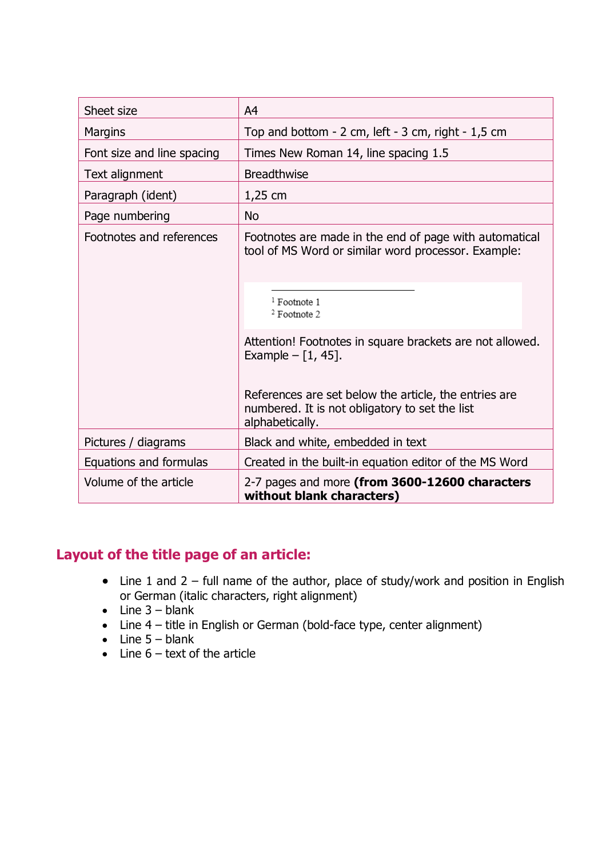| Sheet size                 | A <sup>4</sup>                                                                                                                                                                                                                                                                                                                                             |
|----------------------------|------------------------------------------------------------------------------------------------------------------------------------------------------------------------------------------------------------------------------------------------------------------------------------------------------------------------------------------------------------|
| <b>Margins</b>             | Top and bottom $-2$ cm, left $-3$ cm, right $-1,5$ cm                                                                                                                                                                                                                                                                                                      |
| Font size and line spacing | Times New Roman 14, line spacing 1.5                                                                                                                                                                                                                                                                                                                       |
| Text alignment             | <b>Breadthwise</b>                                                                                                                                                                                                                                                                                                                                         |
| Paragraph (ident)          | $1,25$ cm                                                                                                                                                                                                                                                                                                                                                  |
| Page numbering             | <b>No</b>                                                                                                                                                                                                                                                                                                                                                  |
| Footnotes and references   | Footnotes are made in the end of page with automatical<br>tool of MS Word or similar word processor. Example:<br><sup>1</sup> Footnote 1<br>$2$ Footnote 2<br>Attention! Footnotes in square brackets are not allowed.<br>Example $- [1, 45]$ .<br>References are set below the article, the entries are<br>numbered. It is not obligatory to set the list |
| Pictures / diagrams        | alphabetically.<br>Black and white, embedded in text                                                                                                                                                                                                                                                                                                       |
| Equations and formulas     | Created in the built-in equation editor of the MS Word                                                                                                                                                                                                                                                                                                     |
| Volume of the article      | 2-7 pages and more (from 3600-12600 characters<br>without blank characters)                                                                                                                                                                                                                                                                                |

# **Layout of the title page of an article:**

- Line 1 and  $2 -$  full name of the author, place of study/work and position in English or German (italic characters, right alignment)
- $\bullet$  Line 3 blank
- Line 4 title in English or German (bold-face type, center alignment)
- $\bullet$  Line  $5 -$  blank
- $\bullet$  Line  $6$  text of the article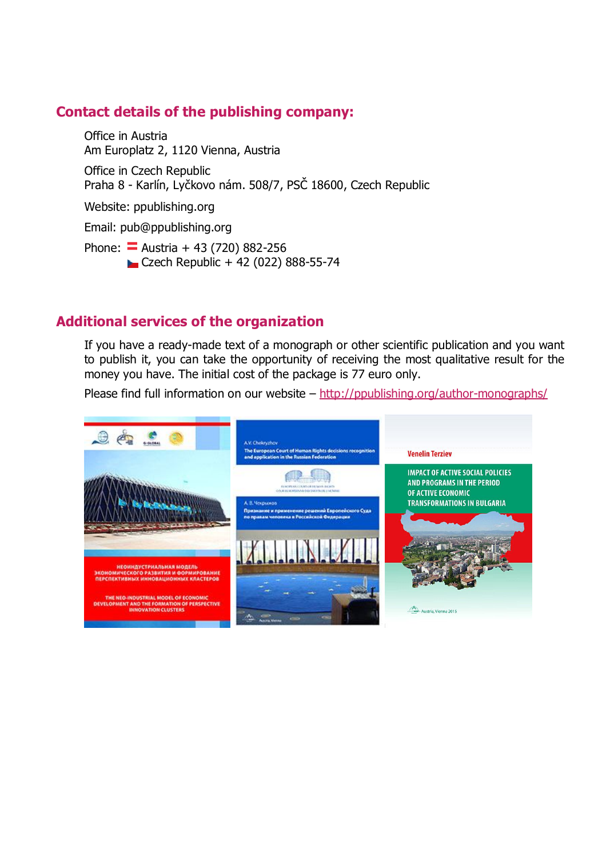## **Contact details of the publishing company:**

Office in Austria Am Europlatz 2, 1120 Vienna, Austria Office in Czech Republic Praha 8 - Karlín, Lyčkovo nám. 508/7, PSČ 18600, Czech Republic

Website: ppublishing.org

Email: pub@ppublishing.org

Phone:  $\overline{=}$  Austria + 43 (720) 882-256 Czech Republic + 42 (022) 888-55-74

## **Additional services of the organization**

If you have a ready-made text of a monograph or other scientific publication and you want to publish it, you can take the opportunity of receiving the most qualitative result for the money you have. The initial cost of the package is 77 euro only.

Please find full information on our website  $-\frac{http://ppublishing.org/author-monography/}{$